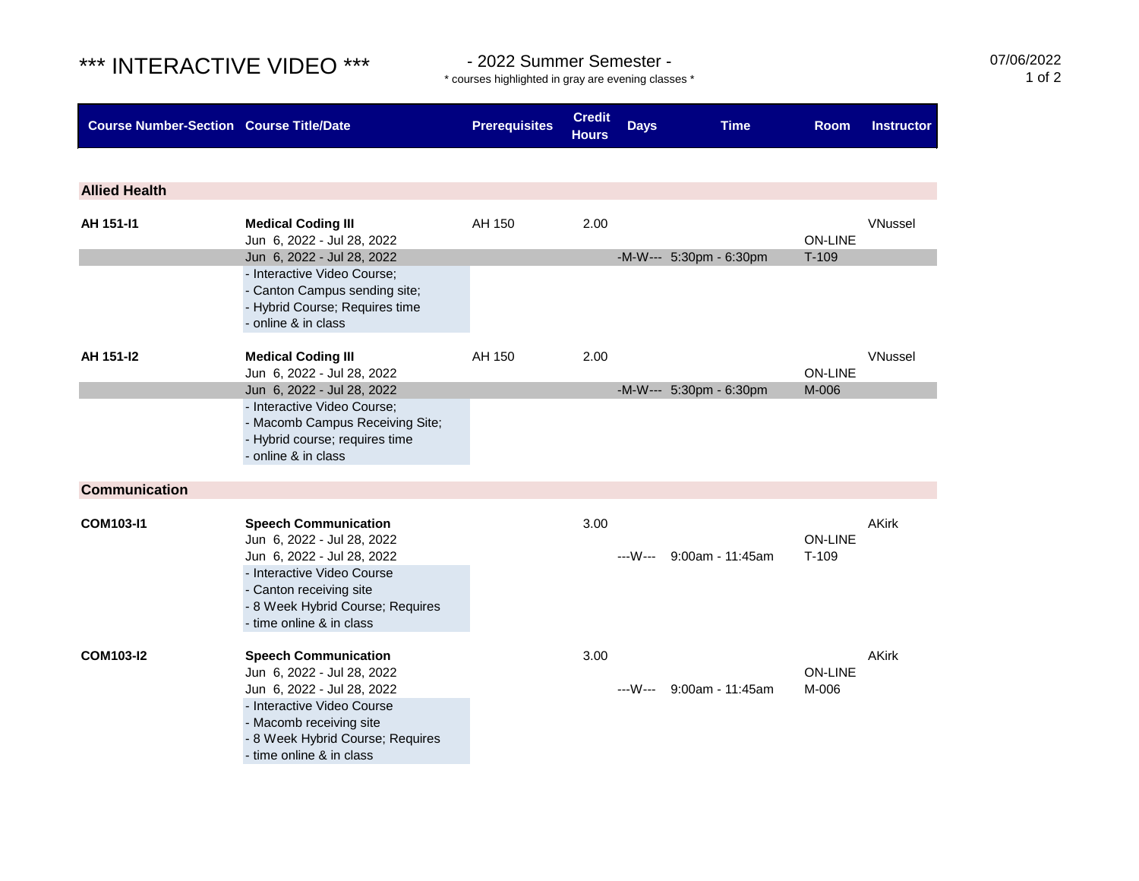## \*\*\* INTERACTIVE VIDEO \*\*\* - 2022 Summer Semester -

**Allied Health**

**Communication**

Jun 6, 2022 - Jul 28, 2022 Jun 6, 2022 - Jul 28, 2022 - Interactive Video Course - Macomb receiving site

- time online & in class

- 8 Week Hybrid Course; Requires

\* courses highlighted in gray are evening classes \*

**Course Number-Section Course Title/Date Prerequisites Credit Hours Days Time Room Instructor AH 151-I1 Medical Coding III AH 150** 2.00 **WINDOW AMELY AH 150** 2.00 Jun 6, 2022 - Jul 28, 2022 ON-LINE Jun 6, 2022 - Jul 28, 2022 -M-W--- 5:30pm - 6:30pm T-109 - Interactive Video Course; - Canton Campus sending site; - Hybrid Course; Requires time - online & in class **AH 151-I2 Medical Coding III AH 150** 2.00 **WINDOW AMELY AH 150** 2.00 Jun 6, 2022 - Jul 28, 2022 ON-LINE Jun 6, 2022 - Jul 28, 2022 - March 2006 - M-W--- 5:30pm - 6:30pm - M-006 - Interactive Video Course; - Macomb Campus Receiving Site; - Hybrid course; requires time - online & in class **COM103-I1 Speech Communication** 3.00 **AKirk**<br> **Speech Communication** 3.00 **AKirk**<br> **Speech Communication** 3.00 **AKIR** Jun 6, 2022 - Jul 28, 2022 Jun 6, 2022 - Jul 28, 2022 ---W--- 9:00am - 11:45am T-109 - Interactive Video Course - Canton receiving site - 8 Week Hybrid Course; Requires - time online & in class

| <b>COM103-I2</b> | <b>Speech Communication</b> | 3.00                     | AKirk          |  |  |
|------------------|-----------------------------|--------------------------|----------------|--|--|
|                  | Jun 6, 2022 - Jul 28, 2022  |                          | <b>ON-LINE</b> |  |  |
|                  | Jun 6, 2022 - Jul 28, 2022  | ---W--- 9:00am - 11:45am | M-006          |  |  |
|                  | - Interactive Video Course  |                          |                |  |  |
|                  | Moograph roganizing oita    |                          |                |  |  |